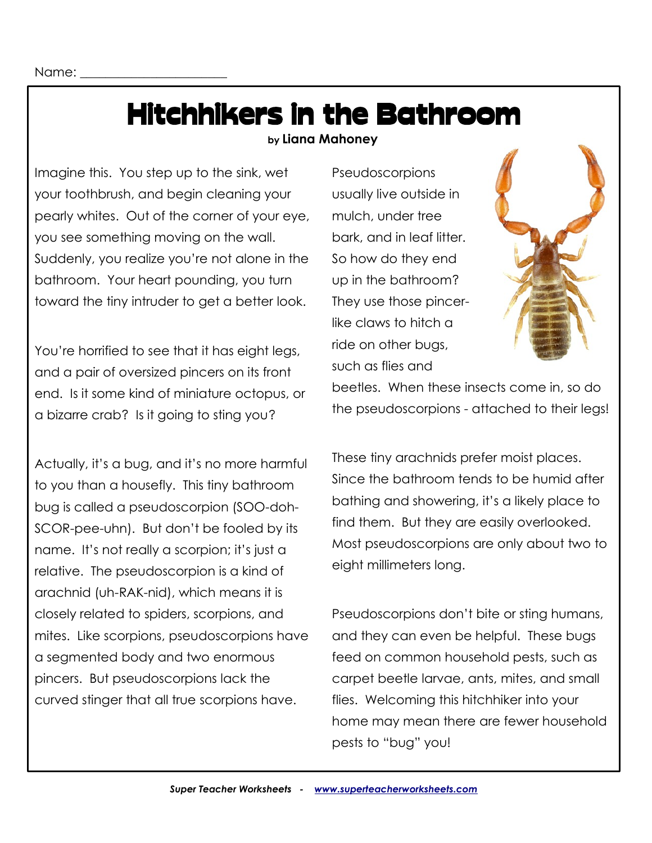## Hitchhikers in the Bathroom

 **by Liana Mahoney**

Imagine this. You step up to the sink, wet your toothbrush, and begin cleaning your pearly whites. Out of the corner of your eye, you see something moving on the wall. Suddenly, you realize you're not alone in the bathroom. Your heart pounding, you turn toward the tiny intruder to get a better look.

You're horrified to see that it has eight legs, and a pair of oversized pincers on its front end. Is it some kind of miniature octopus, or a bizarre crab? Is it going to sting you?

Actually, it's a bug, and it's no more harmful to you than a housefly. This tiny bathroom bug is called a pseudoscorpion (SOO-doh-SCOR-pee-uhn). But don't be fooled by its name. It's not really a scorpion; it's just a relative. The pseudoscorpion is a kind of arachnid (uh-RAK-nid), which means it is closely related to spiders, scorpions, and mites. Like scorpions, pseudoscorpions have a segmented body and two enormous pincers. But pseudoscorpions lack the curved stinger that all true scorpions have.

**Pseudoscorpions** usually live outside in mulch, under tree bark, and in leaf litter. So how do they end up in the bathroom? They use those pincerlike claws to hitch a ride on other bugs, such as flies and



beetles. When these insects come in, so do the pseudoscorpions - attached to their legs!

These tiny arachnids prefer moist places. Since the bathroom tends to be humid after bathing and showering, it's a likely place to find them. But they are easily overlooked. Most pseudoscorpions are only about two to eight millimeters long.

Pseudoscorpions don't bite or sting humans, and they can even be helpful. These bugs feed on common household pests, such as carpet beetle larvae, ants, mites, and small flies. Welcoming this hitchhiker into your home may mean there are fewer household pests to "bug" you!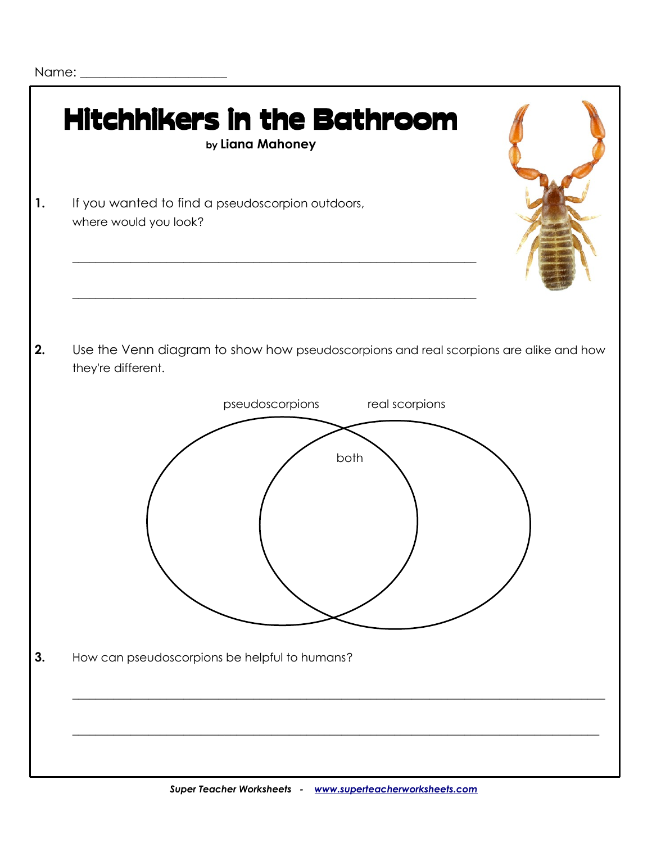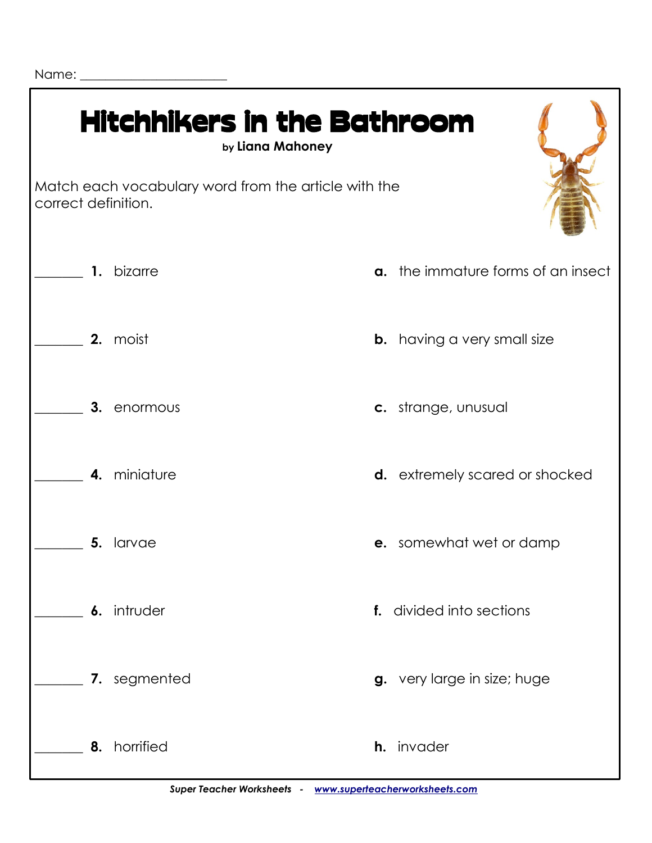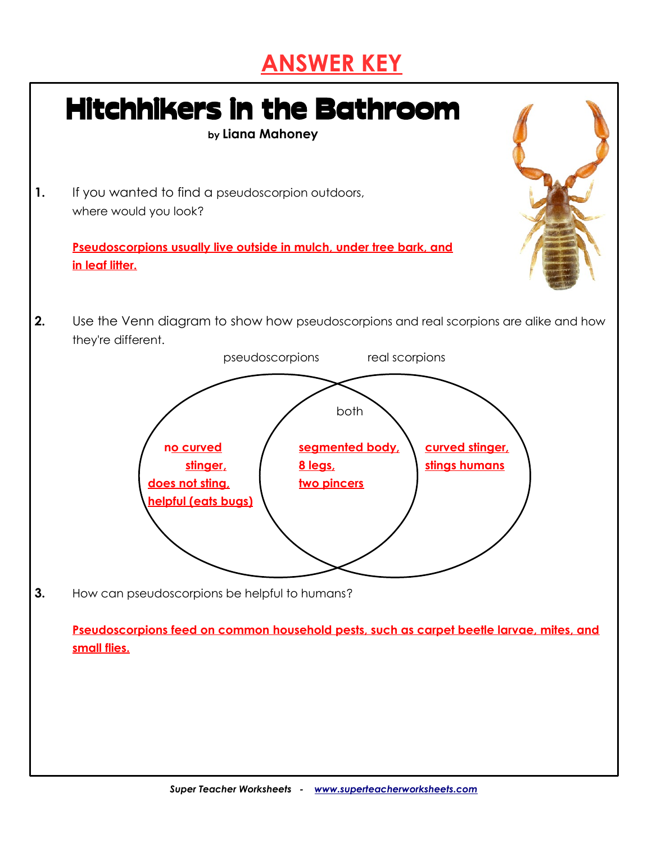## **ANSWER KEY**

|    | <b>Hitchhikers in the Bathroom</b><br>by Liana Mahoney                                                                                                                                                                                                                                                       |
|----|--------------------------------------------------------------------------------------------------------------------------------------------------------------------------------------------------------------------------------------------------------------------------------------------------------------|
| 1. | If you wanted to find a pseudoscorpion outdoors,<br>where would you look?                                                                                                                                                                                                                                    |
|    | Pseudoscorpions usually live outside in mulch, under tree bark, and<br>in leaf litter.                                                                                                                                                                                                                       |
| 2. | Use the Venn diagram to show how pseudoscorpions and real scorpions are alike and how<br>they're different.<br>pseudoscorpions<br>real scorpions<br>both<br>no curved<br>segmented body,<br>curved stinger,<br>stinger,<br>stings humans<br>8 legs,<br>does not sting,<br>two pincers<br>helpful (eats bugs) |
| 3. | How can pseudoscorpions be helpful to humans?<br>Pseudoscorpions feed on common household pests, such as carpet beetle larvae, mites, and<br>small flies.                                                                                                                                                    |
|    |                                                                                                                                                                                                                                                                                                              |